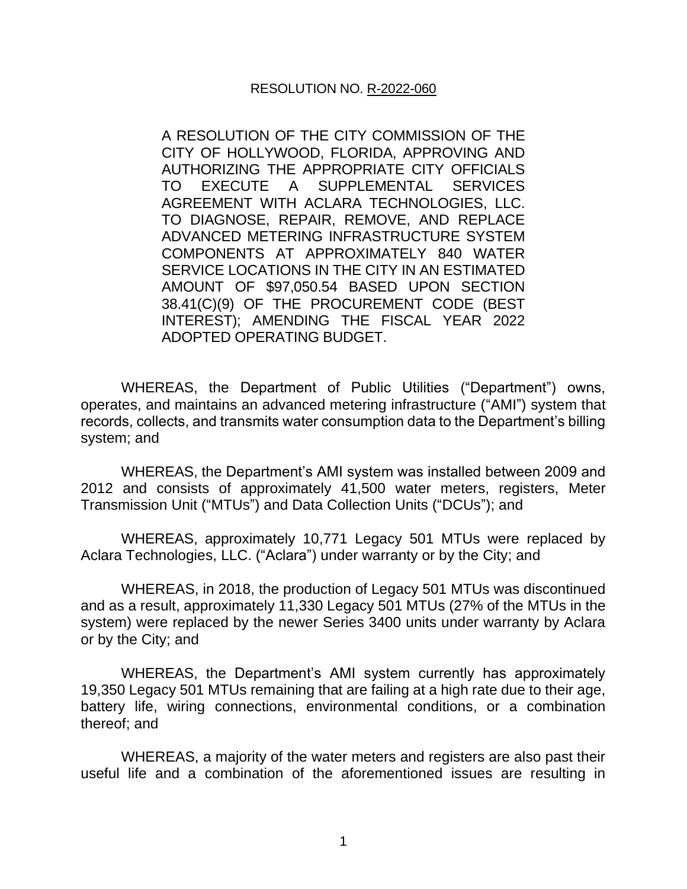A RESOLUTION OF THE CITY COMMISSION OF THE CITY OF HOLLYWOOD, FLORIDA, APPROVING AND AUTHORIZING THE APPROPRIATE CITY OFFICIALS TO EXECUTE A SUPPLEMENTAL SERVICES AGREEMENT WITH ACLARA TECHNOLOGIES, LLC. TO DIAGNOSE, REPAIR, REMOVE, AND REPLACE ADVANCED METERING INFRASTRUCTURE SYSTEM COMPONENTS AT APPROXIMATELY 840 WATER SERVICE LOCATIONS IN THE CITY IN AN ESTIMATED AMOUNT OF \$97,050.54 BASED UPON SECTION 38.41(C)(9) OF THE PROCUREMENT CODE (BEST INTEREST); AMENDING THE FISCAL YEAR 2022 ADOPTED OPERATING BUDGET.

WHEREAS, the Department of Public Utilities ("Department") owns, operates, and maintains an advanced metering infrastructure ("AMI") system that records, collects, and transmits water consumption data to the Department's billing system; and

WHEREAS, the Department's AMI system was installed between 2009 and 2012 and consists of approximately 41,500 water meters, registers, Meter Transmission Unit ("MTUs") and Data Collection Units ("DCUs"); and

WHEREAS, approximately 10,771 Legacy 501 MTUs were replaced by Aclara Technologies, LLC. ("Aclara") under warranty or by the City; and

WHEREAS, in 2018, the production of Legacy 501 MTUs was discontinued and as a result, approximately 11,330 Legacy 501 MTUs (27% of the MTUs in the system) were replaced by the newer Series 3400 units under warranty by Aclara or by the City; and

WHEREAS, the Department's AMI system currently has approximately 19,350 Legacy 501 MTUs remaining that are failing at a high rate due to their age, battery life, wiring connections, environmental conditions, or a combination thereof; and

WHEREAS, a majority of the water meters and registers are also past their useful life and a combination of the aforementioned issues are resulting in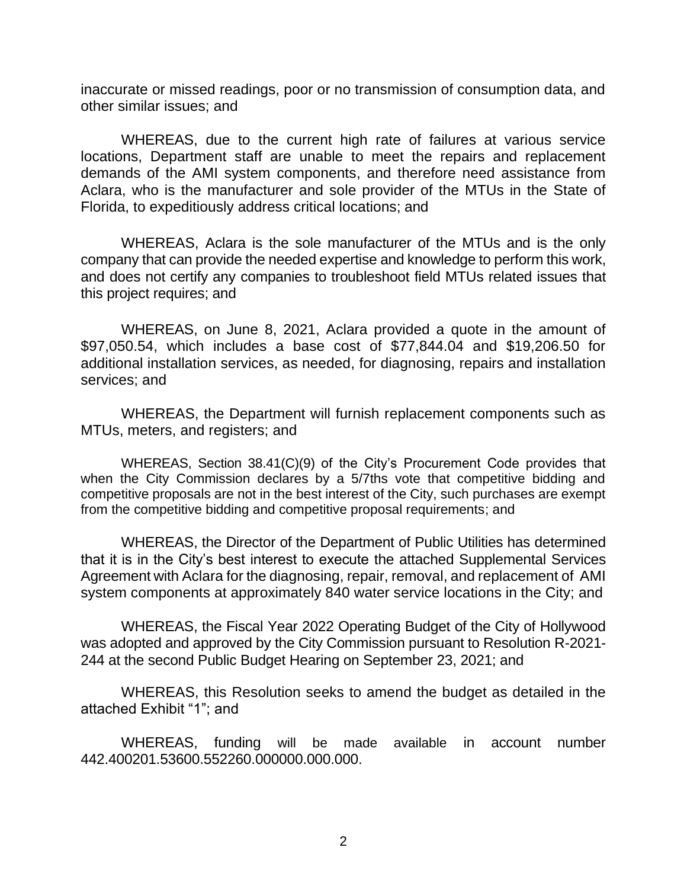inaccurate or missed readings, poor or no transmission of consumption data, and other similar issues; and

WHEREAS, due to the current high rate of failures at various service locations, Department staff are unable to meet the repairs and replacement demands of the AMI system components, and therefore need assistance from Aclara, who is the manufacturer and sole provider of the MTUs in the State of Florida, to expeditiously address critical locations; and

WHEREAS, Aclara is the sole manufacturer of the MTUs and is the only company that can provide the needed expertise and knowledge to perform this work, and does not certify any companies to troubleshoot field MTUs related issues that this project requires; and

WHEREAS, on June 8, 2021, Aclara provided a quote in the amount of \$97,050.54, which includes a base cost of \$77,844.04 and \$19,206.50 for additional installation services, as needed, for diagnosing, repairs and installation services; and

WHEREAS, the Department will furnish replacement components such as MTUs, meters, and registers; and

WHEREAS, Section 38.41(C)(9) of the City's Procurement Code provides that when the City Commission declares by a 5/7ths vote that competitive bidding and competitive proposals are not in the best interest of the City, such purchases are exempt from the competitive bidding and competitive proposal requirements; and

WHEREAS, the Director of the Department of Public Utilities has determined that it is in the City's best interest to execute the attached Supplemental Services Agreement with Aclara for the diagnosing, repair, removal, and replacement of AMI system components at approximately 840 water service locations in the City; and

WHEREAS, the Fiscal Year 2022 Operating Budget of the City of Hollywood was adopted and approved by the City Commission pursuant to Resolution R-2021- 244 at the second Public Budget Hearing on September 23, 2021; and

WHEREAS, this Resolution seeks to amend the budget as detailed in the attached Exhibit "1"; and

WHEREAS, funding will be made available in account number 442.400201.53600.552260.000000.000.000.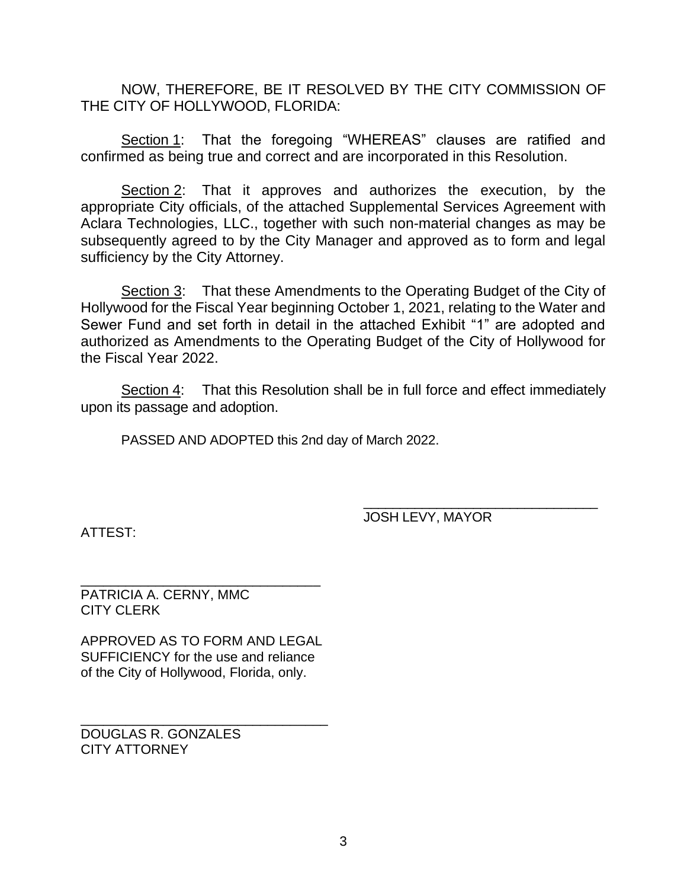NOW, THEREFORE, BE IT RESOLVED BY THE CITY COMMISSION OF THE CITY OF HOLLYWOOD, FLORIDA:

Section 1: That the foregoing "WHEREAS" clauses are ratified and confirmed as being true and correct and are incorporated in this Resolution.

Section 2: That it approves and authorizes the execution, by the appropriate City officials, of the attached Supplemental Services Agreement with Aclara Technologies, LLC., together with such non-material changes as may be subsequently agreed to by the City Manager and approved as to form and legal sufficiency by the City Attorney.

Section 3: That these Amendments to the Operating Budget of the City of Hollywood for the Fiscal Year beginning October 1, 2021, relating to the Water and Sewer Fund and set forth in detail in the attached Exhibit "1" are adopted and authorized as Amendments to the Operating Budget of the City of Hollywood for the Fiscal Year 2022.

Section 4: That this Resolution shall be in full force and effect immediately upon its passage and adoption.

PASSED AND ADOPTED this 2nd day of March 2022.

ATTEST:

JOSH LEVY, MAYOR

\_\_\_\_\_\_\_\_\_\_\_\_\_\_\_\_\_\_\_\_\_\_\_\_\_\_\_\_\_\_\_\_

\_\_\_\_\_\_\_\_\_\_\_\_\_\_\_\_\_\_\_\_\_\_\_\_\_\_\_\_\_\_\_\_ PATRICIA A. CERNY, MMC CITY CLERK

APPROVED AS TO FORM AND LEGAL SUFFICIENCY for the use and reliance of the City of Hollywood, Florida, only.

\_\_\_\_\_\_\_\_\_\_\_\_\_\_\_\_\_\_\_\_\_\_\_\_\_\_\_\_\_\_\_\_\_ DOUGLAS R. GONZALES CITY ATTORNEY